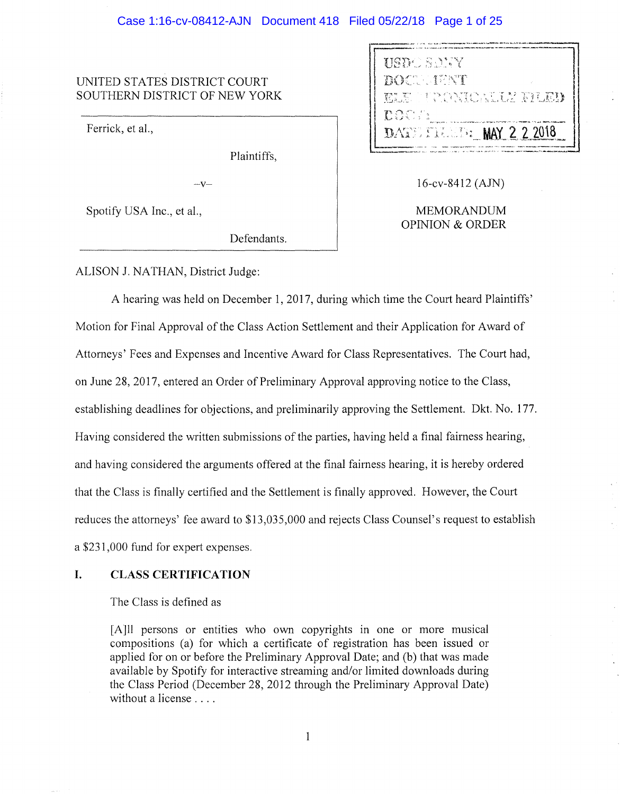# Case 1:16-cv-08412-AJN Document 418 Filed 05/22/18 Page 1 of 25

# UNITED STATES DISTRICT COURT SOUTHERN DISTRICT OF NEW YORK

Ferrick, et al.,

Plaintiffs,

 $-V-$ 

Spotify USA Inc., et al.,

Defendants.

| <b>HELL</b> ELLA              |
|-------------------------------|
| <b>BOCH IENT</b>              |
| RIE TROVIDATIV FILEM          |
| <b>DDA</b> Ha                 |
| DATE FREE <b>MAY 2 2 2018</b> |
|                               |

16-cv-8412 ( AJN)

MEMORANDUM OPINION & ORDER

# ALISON J. NA THAN, District Judge:

A hearing was held on December 1, 2017, during which time the Court heard Plaintiffs' Motion for Final Approval of the Class Action Settlement and their Application for Award of Attorneys' Fees and Expenses and Incentive Award for Class Representatives. The Court had, on June 28, 2017, entered an Order of Preliminary Approval approving notice to the Class, establishing deadlines for objections, and preliminarily approving the Settlement. Dkt. No. 177. Having considered the written submissions of the parties, having held a final fairness hearing, and having considered the arguments offered at the final fairness hearing, it is hereby ordered that the Class is finally certified and the Settlement is finally approved. However, the Court reduces the attorneys' fee award to \$13,035,000 and rejects Class Counsel's request to establish a \$231,000 fund for expert expenses.

### **I. CLASS CERTIFICATION**

The Class is defined as

[A]ll persons or entities who own copyrights in one or more musical compositions (a) for which a certificate of registration has been issued or applied for on or before the Preliminary Approval Date; and (b) that was made available by Spotify for interactive streaming and/or limited downloads during the Class Period (December 28, 2012 through the Preliminary Approval Date) without a license ....

 $\mathbf 1$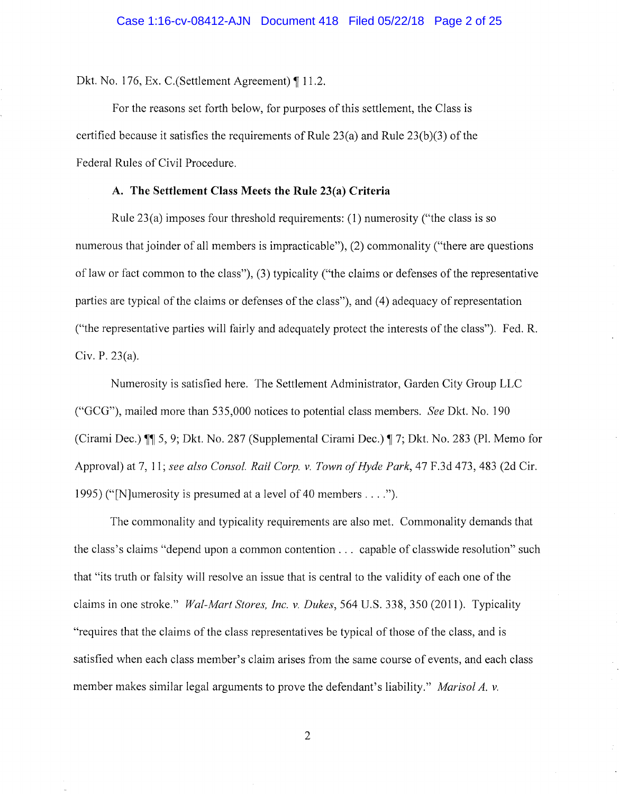Dkt. No. 176, Ex. C. (Settlement Agreement)  $\P$  11.2.

For the reasons set forth below, for purposes of this settlement, the Class is certified because it satisfies the requirements of Rule 23(a) and Rule 23(b)(3) of the Federal Rules of Civil Procedure.

### **A. The Settlement Class Meets the Rule 23(a) Criteria**

Rule 23(a) imposes four threshold requirements: (1) numerosity ("the class is so numerous that joinder of all members is impracticable"), (2) commonality ("there are questions oflaw or fact common to the class"), (3) typicality ("the claims or defenses of the representative parties are typical of the claims or defenses of the class"), and (4) adequacy of representation ("the representative parties will fairly and adequately protect the interests of the class"). Fed. R. Civ. P. 23(a).

Numerosity is satisfied here. The Settlement Administrator, Garden City Group LLC ("GCG"), mailed more than 535,000 notices to potential class members. *See* Dkt. No. 190 (Cirami Dec.)  $\mathbb{I}$  5, 9; Dkt. No. 287 (Supplemental Cirami Dec.)  $\mathbb{I}$  7; Dkt. No. 283 (Pl. Memo for Approval) at 7, 11; *see also Consol. Rail Corp. v. Town of Hyde Park,* 47 F.3d 473,483 (2d Cir. 1995) ("[N]umerosity is presumed at a level of 40 members .... ").

The commonality and typicality requirements are also met. Commonality demands that the class's claims "depend upon a common contention ... capable of classwide resolution" such that "its truth or falsity will resolve an issue that is central to the validity of each one of the claims in one stroke." *Wal-Mart Stores, Inc. v. Dukes,* 564 U.S. 338, 350 (2011). Typicality "requires that the claims of the class representatives be typical of those of the class, and is satisfied when each class member's claim arises from the same course of events, and each class member makes similar legal arguments to prove the defendant's liability." *Marisol A. v.*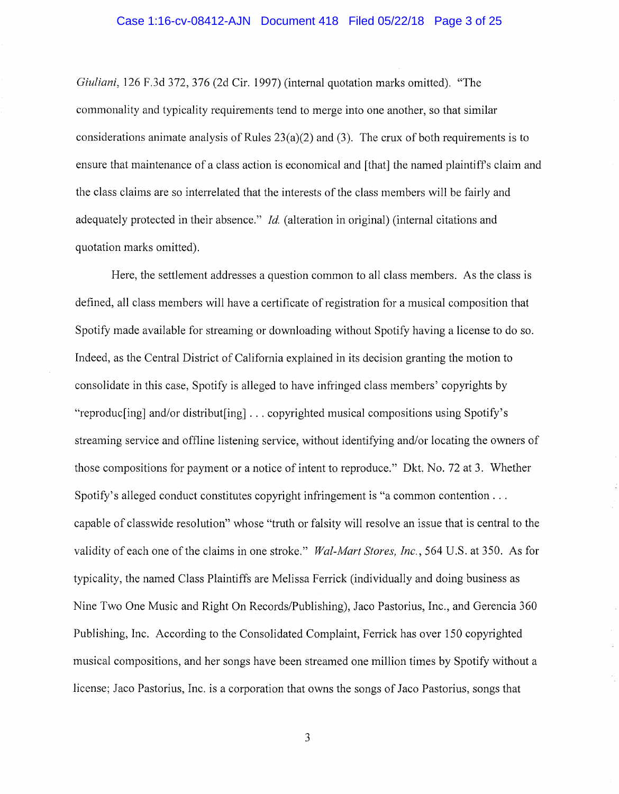### Case 1:16-cv-08412-AJN Document 418 Filed 05/22/18 Page 3 of 25

*Giuliani,* 126 F.3d 372, 376 (2d Cir. 1997) (internal quotation marks omitted). "The commonality and typicality requirements tend to merge into one another, so that similar considerations animate analysis of Rules  $23(a)(2)$  and (3). The crux of both requirements is to ensure that maintenance of a class action is economical and [that] the named plaintiffs claim and the class claims are so interrelated that the interests of the class members will be fairly and adequately protected in their absence." *Id.* (alteration in original) (internal citations and quotation marks omitted).

Here, the settlement addresses a question common to all class members. As the class is defined, all class members will have a certificate of registration for a musical composition that Spotify made available for streaming or downloading without Spotify having a license to do so. Indeed, as the Central District of California explained in its decision granting the motion to consolidate in this case, Spotify is alleged to have infringed class members' copyrights by "reproduc[ing] and/or distribut[ing] ... copyrighted musical compositions using Spotify's streaming service and offline listening service, without identifying and/or locating the owners of those compositions for payment or a notice of intent to reproduce." Dkt. No. 72 at 3. Whether Spotify's alleged conduct constitutes copyright infringement is "a common contention  $\dots$ capable of classwide resolution" whose "truth or falsity will resolve an issue that is central to the validity of each one of the claims in one stroke." *Wal-Mart Stores, Inc.,* 564 U.S. at 350. As for typicality, the named Class Plaintiffs are Melissa Ferrick (individually and doing business as Nine Two One Music and Right On Records/Publishing), Jaco Pastorius, Inc., and Gerencia 360 Publishing, Inc. According to the Consolidated Complaint, Ferrick has over 150 copyrighted musical compositions, and her songs have been streamed one million times by Spotify without a license; Jaco Pastorius, Inc. is a corporation that owns the songs of Jaco Pastorius, songs that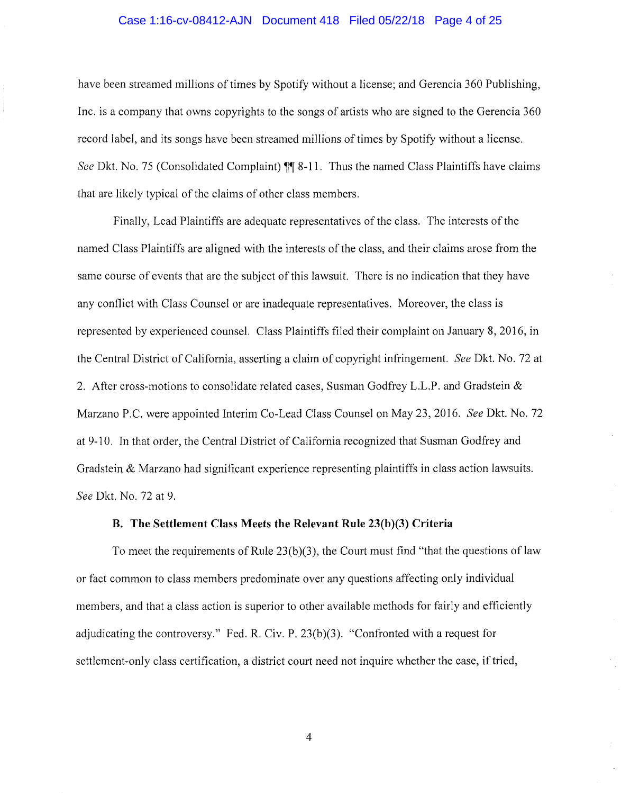### Case 1:16-cv-08412-AJN Document 418 Filed 05/22/18 Page 4 of 25

have been streamed millions of times by Spotify without a license; and Gerencia 360 Publishing, Inc. is a company that owns copyrights to the songs of artists who are signed to the Gerencia 360 record label, and its songs have been streamed millions of times by Spotify without a license. *See Dkt. No. 75 (Consolidated Complaint)*  $\P\P$  8-11. Thus the named Class Plaintiffs have claims that are likely typical of the claims of other class members.

Finally, Lead Plaintiffs are adequate representatives of the class. The interests of the named Class Plaintiffs are aligned with the interests of the class, and their claims arose from the same course of events that are the subject of this lawsuit. There is no indication that they have any conflict with Class Counsel or are inadequate representatives. Moreover, the class is represented by experienced counsel. Class Plaintiffs filed their complaint on January 8, 2016, in the Central District of California, asserting a claim of copyright infringement. *See* Dkt. No. 72 at 2. After cross-motions to consolidate related cases, Susman Godfrey L.L.P. and Gradstein & Marzano P.C. were appointed Interim Co-Lead Class Counsel on May 23, 2016. *See* Dkt. No. 72 at 9- IO. In that order, the Central District of California recognized that Susman Godfrey and Gradstein & Marzano had significant experience representing plaintiffs in class action lawsuits. *See* Dkt. No. 72 at 9.

#### **B. The Settlement Class Meets the Relevant Rule 23(b )(3) Criteria**

To meet the requirements of Rule  $23(b)(3)$ , the Court must find "that the questions of law or fact common to class members predominate over any questions affecting only individual members, and that a class action is superior to other available methods for fairly and efficiently adjudicating the controversy." Fed. R. Civ. P. 23(b)(3). "Confronted with a request for settlement-only class certification, a district court need not inquire whether the case, if tried,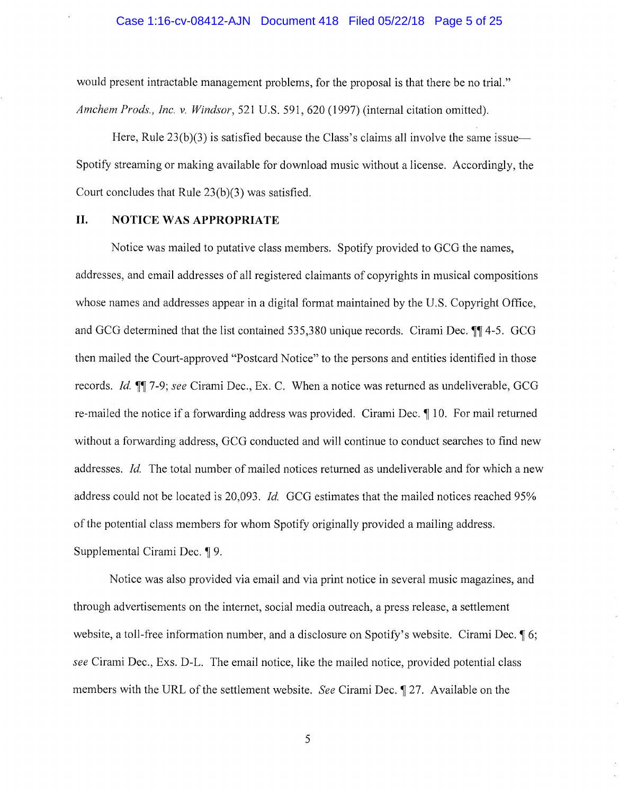### Case 1:16-cv-08412-AJN Document 418 Filed 05/22/18 Page 5 of 25

would present intractable management problems, for the proposal is that there be no trial." *Amchem Prods., Inc. v. Windsor,* 521 U.S. 591,620 (1997) (internal citation omitted).

Here, Rule  $23(b)(3)$  is satisfied because the Class's claims all involve the same issue— Spotify streaming or making available for download music without a license. Accordingly, the Court concludes that Rule 23(b)(3) was satisfied.

# **II. NOTICE WAS APPROPRIATE**

Notice was mailed to putative class members. Spotify provided to GCG the names, addresses, and email addresses of all registered claimants of copyrights in musical compositions whose names and addresses appear in a digital format maintained by the U.S. Copyright Office, and GCG determined that the list contained 535,380 unique records. Cirami Dec. **114-5.** GCG then mailed the Court-approved "Postcard Notice" to the persons and entities identified in those records. *Id.* **1**, 7-9; *see* Cirami Dec., Ex. C. When a notice was returned as undeliverable, GCG re-mailed the notice if a forwarding address was provided. Cirami Dec. 110. For mail returned without a forwarding address, GCG conducted and will continue to conduct searches to find new addresses. *Id.* The total number of mailed notices returned as undeliverable and for which a new address could not be located is 20,093. *Id* GCG estimates that the mailed notices reached 95% of the potential class members for whom Spotify originally provided a mailing address. Supplemental Cirami Dec. **19.** 

Notice was also provided via email and via print notice in several music magazines, and through advertisements on the internet, social media outreach, a press release, a settlement website, a toll-free information number, and a disclosure on Spotify's website. Cirami Dec. **[6**; *see* Cirami Dec., Exs. D-L. The email notice, like the mailed notice, provided potential class members with the URL of the settlement website. *See* Cirami Dec. 127. Available on the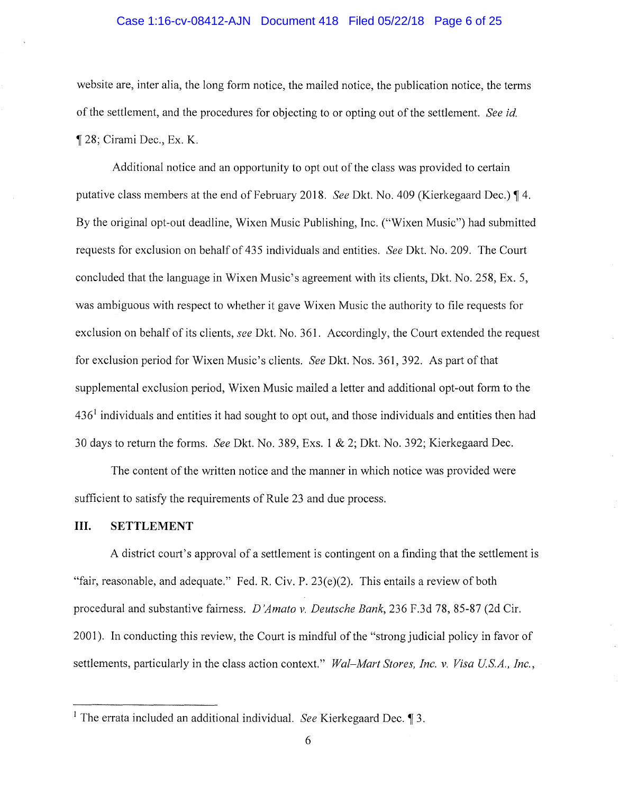### Case 1:16-cv-08412-AJN Document 418 Filed 05/22/18 Page 6 of 25

website are, inter alia, the long form notice, the mailed notice, the publication notice, the terms of the settlement, and the procedures for objecting to or opting out of the settlement. *See id.*  **128;** Cirami Dec., Ex. K.

Additional notice and an opportunity to opt out of the class was provided to certain putative class members at the end of February 2018. *See* Dkt. No. 409 (Kierkegaard Dec.) **14.**  By the original opt-out deadline, Wixen Music Publishing, Inc. ("Wixen Music") had submitted requests for exclusion on behalf of 435 individuals and entities. *See* Dkt. No. 209. The Court concluded that the language in Wixen Music's agreement with its clients, Dkt. No. 258, Ex. 5, was ambiguous with respect to whether it gave Wixen Music the authority to file requests for exclusion on behalf of its clients, *see* Dkt. No. 361. Accordingly, the Court extended the request for exclusion period for Wixen Music's clients. *See* Dkt. Nos. 361, 392. As part of that supplemental exclusion period, Wixen Music mailed a letter and additional opt-out form to the  $436<sup>1</sup>$  individuals and entities it had sought to opt out, and those individuals and entities then had 30 days to return the forms. *See* Dkt. No. 389, Exs. 1 & 2; Dkt. No. 392; Kierkegaard Dec.

The content of the written notice and the manner in which notice was provided were sufficient to satisfy the requirements of Rule 23 and due process.

### **III. SETTLEMENT**

A district court's approval of a settlement is contingent on a finding that the settlement is "fair, reasonable, and adequate." Fed. R. Civ. P.  $23(e)(2)$ . This entails a review of both procedural and substantive fairness. *D 'Amato v. Deutsche Bank,* 236 F.3d 78, 85-87 (2d Cir. 2001 ). In conducting this review, the Court is mindful of the "strong judicial policy in favor of settlements, particularly in the class action context." *Wal–Mart Stores, Inc. v. Visa U.S.A., Inc.*,

<sup>&</sup>lt;sup>1</sup> The errata included an additional individual. *See* Kierkegaard Dec. **1**3.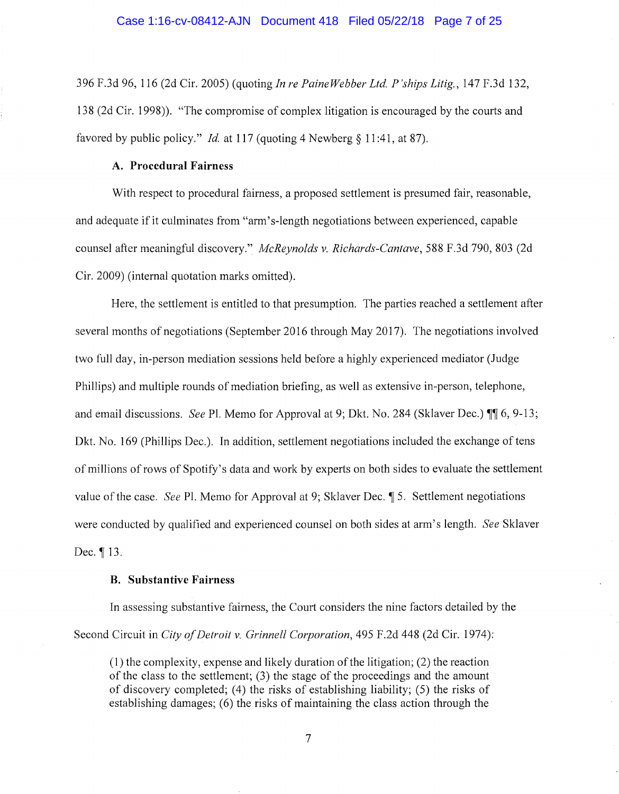396 F.3d 96, 116 (2d Cir. 2005) (quoting *In re Paine Webber Ltd. P 'ships Litig.,* 147 F.3d 132, 138 (2d Cir. 1998)). "The compromise of complex litigation is encouraged by the courts and favored by public policy." *Id.* at 117 (quoting 4 Newberg § 11:41, at 87).

### **A. Procedural Fairness**

With respect to procedural fairness, a proposed settlement is presumed fair, reasonable, and adequate if it culminates from "arm's-length negotiations between experienced, capable counsel after meaningful discovery." *McReynolds v. Richards-Cantave,* 588 F.3d 790, 803 (2d Cir. 2009) (internal quotation marks omitted).

Here, the settlement is entitled to that presumption. The parties reached a settlement after several months of negotiations (September 2016 through May 2017). The negotiations involved two full day, in-person mediation sessions held before a highly experienced mediator (Judge Phillips) and multiple rounds of mediation briefing, as well as extensive in-person, telephone, and email discussions. *See Pl. Memo for Approval at 9; Dkt. No.* 284 (Sklaver Dec.) **(1)** 6, 9-13; Dkt. No. 169 (Phillips Dec.). In addition, settlement negotiations included the exchange of tens of millions of rows of Spotify' s data and work by experts on both sides to evaluate the settlement value of the case. *See* Pl. Memo for Approval at 9; Sklaver Dec. **15.** Settlement negotiations were conducted by qualified and experienced counsel on both sides at arm's length. *See* Sklaver Dec. 13.

### **B. Substantive Fairness**

In assessing substantive fairness, the Court considers the nine factors detailed by the Second Circuit in *City of Detroit v. Grinnell Corporation,* 495 F.2d 448 (2d Cir. 1974):

(1) the complexity, expense and likely duration of the litigation; (2) the reaction of the class to the settlement; (3) the stage of the proceedings and the amount of discovery completed; (4) the risks of establishing liability; (5) the risks of establishing damages; (6) the risks of maintaining the class action through the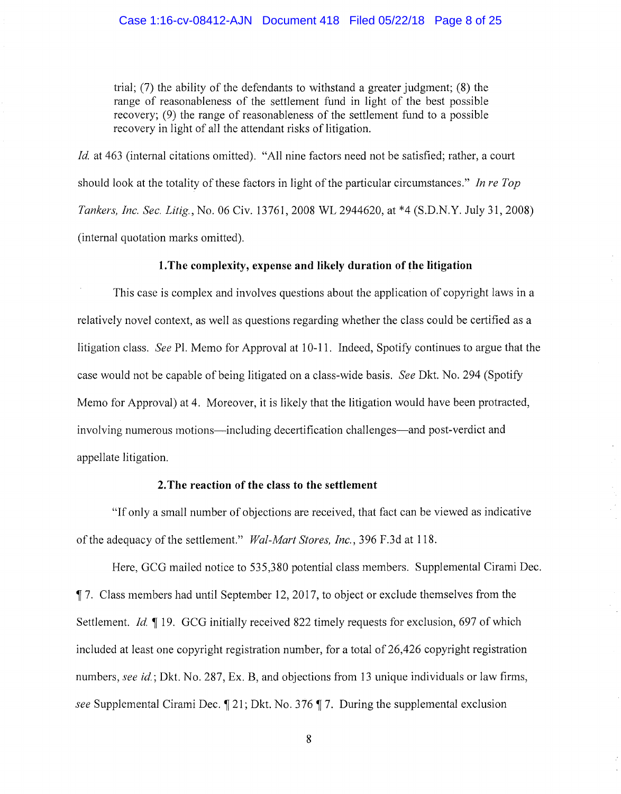trial; (7) the ability of the defendants to withstand a greater judgment; (8) the range of reasonableness of the settlement fund in light of the best possible recovery; (9) the range of reasonableness of the settlement fund to a possible recovery in light of all the attendant risks of litigation.

*Id.* at 463 (internal citations omitted). "All nine factors need not be satisfied; rather, a court should look at the totality of these factors in light of the particular circumstances." *In re Top Tankers, Inc. Sec. Litig.,* No. 06 Civ. 13761, 2008 WL 2944620, at \*4 (S.D.N.Y. July 31, 2008) (internal quotation marks omitted).

### **1. The complexity, expense and likely duration of the litigation**

This case is complex and involves questions about the application of copyright laws in a relatively novel context, as well as questions regarding whether the class could be certified as a litigation class. *See* Pl. Memo for Approval at 10-11. Indeed, Spotify continues to argue that the case would not be capable of being litigated on a class-wide basis. *See* Dkt. No. 294 (Spotify Memo for Approval) at 4. Moreover, it is likely that the litigation would have been protracted, involving numerous motions—including decertification challenges—and post-verdict and appellate litigation.

#### **2. The reaction of the class to the settlement**

"If only a small number of objections are received, that fact can be viewed as indicative of the adequacy of the settlement." *Wal-Mart Stores, Inc.,* 396 F.3d at 118.

Here, GCG mailed notice to 535,380 potential class members. Supplemental Cirami Dec. **17.** Class members had until September 12, 2017, to object or exclude themselves from the Settlement. *Id.* 19. GCG initially received 822 timely requests for exclusion, 697 of which included at least one copyright registration number, for a total of 26,426 copyright registration numbers, *see id.;* Dkt. No. 287, Ex. B, and objections from 13 unique individuals or law firms, *see* Supplemental Cirami Dec. 1 21; Dkt. No. 376 17. During the supplemental exclusion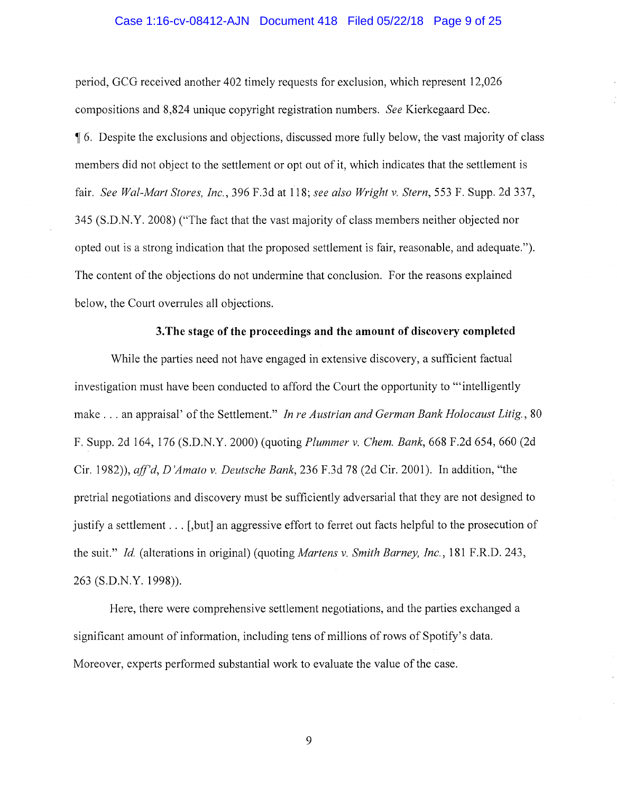### Case 1:16-cv-08412-AJN Document 418 Filed 05/22/18 Page 9 of 25

period, GCG received another 402 timely requests for exclusion, which represent 12,026 compositions and 8,824 unique copyright registration numbers. *See* Kierkegaard Dec. <sup>~</sup>6. Despite the exclusions and objections, discussed more fully below, the vast majority of class members did not object to the settlement or opt out of it, which indicates that the settlement is fair. *See Wal-Mart Stores, Inc.,* 396 F.3d at 118; *see also Wright v. Stern,* 553 F. Supp. 2d 337, 345 (S.D.N.Y. 2008) ("The fact that the vast majority of class members neither objected nor opted out is a strong indication that the proposed settlement is fair, reasonable, and adequate."). The content of the objections do not undermine that conclusion. For the reasons explained below, the Court overrules all objections.

#### **3.The stage of the proceedings and the amount of discovery completed**

While the parties need not have engaged in extensive discovery, a sufficient factual investigation must have been conducted to afford the Court the opportunity to "'intelligently make ... an appraisal' of the Settlement." *In re Austrian and German Bank Holocaust Litig.,* <sup>80</sup> F. Supp. 2d 164, 176 (S.D.N.Y. 2000) (quoting *Plummer v. Chem. Bank,* 668 F.2d 654, 660 (2d Cir. 1982)), *aff'd, D 'Amato v. Deutsche Bank,* 236 F.3d 78 (2d Cir. 2001). In addition, "the pretrial negotiations and discovery must be sufficiently adversarial that they are not designed to justify a settlement ... [,but] an aggressive effort to ferret out facts helpful to the prosecution of the suit." *Id.* (alterations in original) (quoting *Martens v. Smith Barney, Inc.,* 181 F.R.D. 243, 263 (S.D.N.Y. 1998)).

Here, there were comprehensive settlement negotiations, and the parties exchanged a significant amount of information, including tens of millions of rows of Spotify's data. Moreover, experts performed substantial work to evaluate the value of the case.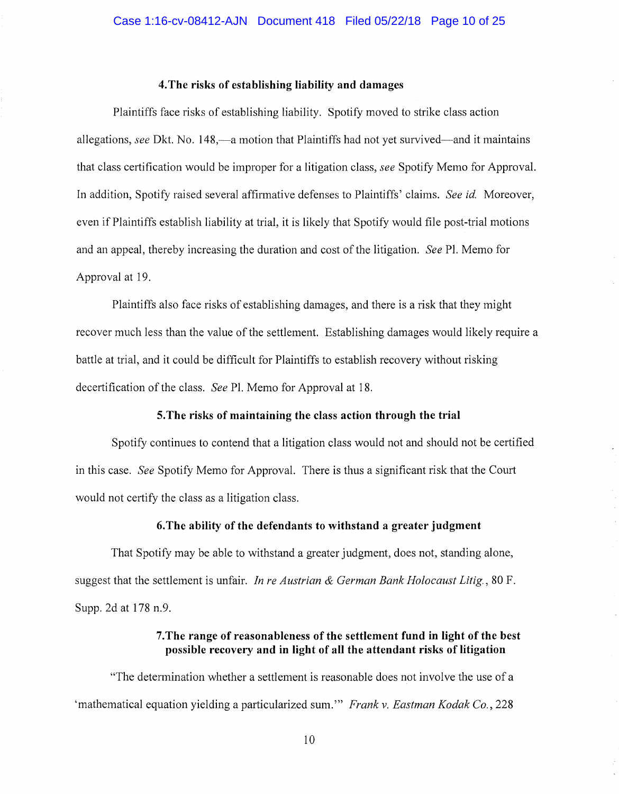# **4. The risks of establishing liability and damages**

Plaintiffs face risks of establishing liability. Spotify moved to strike class action allegations, *see* Dkt. No. 148,—a motion that Plaintiffs had not yet survived—and it maintains that class certification would be improper for a litigation class, *see* Spotify Memo for Approval. In addition, Spotify raised several affirmative defenses to Plaintiffs' claims. *See id.* Moreover, even if Plaintiffs establish liability at trial, it is likely that Spotify would file post-trial motions and an appeal, thereby increasing the duration and cost of the litigation. *See* Pl. Memo for Approval at 19.

Plaintiffs also face risks of establishing damages, and there is a risk that they might recover much less than the value of the settlement. Establishing damages would likely require a battle at trial, and it could be difficult for Plaintiffs to establish recovery without risking decertification of the class. *See* Pl. Memo for Approval at 18.

### **5. The risks of maintaining the class action through the trial**

Spotify continues to contend that a litigation class would not and should not be certified in this case. *See* Spotify Memo for Approval. There is thus a significant risk that the Court would not certify the class as a litigation class.

### **6.The ability of the defendants to withstand a greater judgment**

That Spotify may be able to withstand a greater judgment, does not, standing alone, suggest that the settlement is unfair. *In re Austrian & German Bank Holocaust Litig.,* 80 F. Supp. 2d at 178 n.9.

# **7.The range of reasonableness of the settlement fund in light of the best possible recovery and in light of all the attendant risks of litigation**

"The determination whether a settlement is reasonable does not involve the use of a 'mathematical equation yielding a particularized sum."' *Frank v. Eastman Kodak Co.,* 228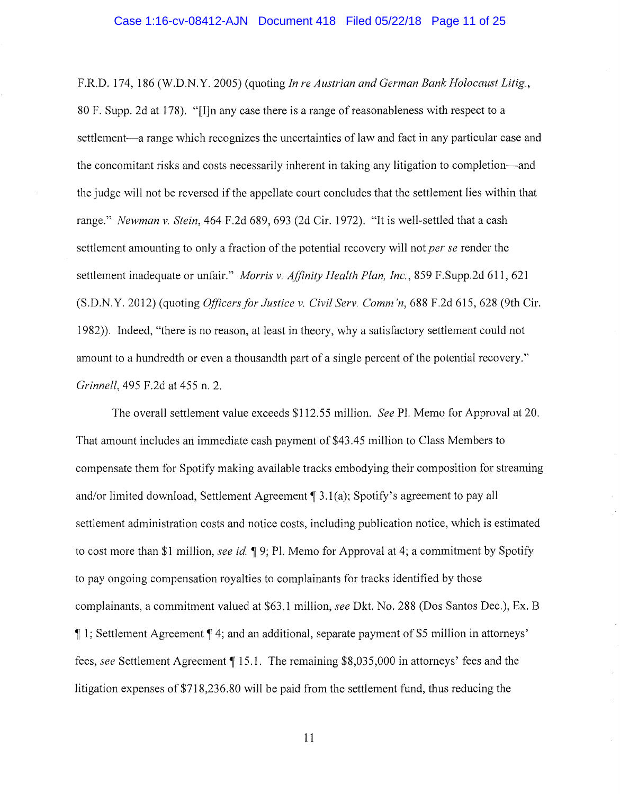F.R.D. 174, 186 (W.D.N. Y. 2005) (quoting *In re Austrian and German Bank Holocaust Litig.,*  80 F. Supp. 2d at 178). "[I]n any case there is a range ofreasonableness with respect to a settlement—a range which recognizes the uncertainties of law and fact in any particular case and the concomitant risks and costs necessarily inherent in taking any litigation to completion-and the judge will not be reversed if the appellate court concludes that the settlement lies within that range." *Newman v. Stein,* 464 F.2d 689, 693 (2d Cir. 1972). "It is well-settled that a cash settlement amounting to only a fraction of the potential recovery will not *per se* render the settlement inadequate or unfair." *Morris v. Affinity Health Plan, Inc.,* 859 F.Supp.2d 611, 621 (S.D.N.Y. 2012) (quoting *Officers for.Justice v. Civil Serv. Comm'n,* 688 F.2d 615,628 (9th Cir. 1982)). Indeed, "there is no reason, at least in theory, why a satisfactory settlement could not amount to a hundredth or even a thousandth part of a single percent of the potential recovery." *Grinnell,* 495 F.2d at 455 n. 2.

The overall settlement value exceeds \$112.55 million. *See* Pl. Memo for Approval at 20. That amount includes an immediate cash payment of \$43 .45 million to Class Members to compensate them for Spotify making available tracks embodying their composition for streaming and/or limited download, Settlement Agreement  $\P$  3.1(a); Spotify's agreement to pay all settlement administration costs and notice costs, including publication notice, which is estimated to cost more than \$1 million, *see id.*  $\mathbb{I}$  9; Pl. Memo for Approval at 4; a commitment by Spotify to pay ongoing compensation royalties to complainants for tracks identified by those complainants, a commitment valued at \$63.1 million, *see* Dkt. No. 288 (Dos Santos Dec.), Ex. B , 1; Settlement Agreement, 4; and an additional, separate payment of \$5 million in attorneys' fees, *see* Settlement Agreement, 15.1. The remaining \$8,035,000 in attorneys' fees and the litigation expenses of \$718,236.80 will be paid from the settlement fund, thus reducing the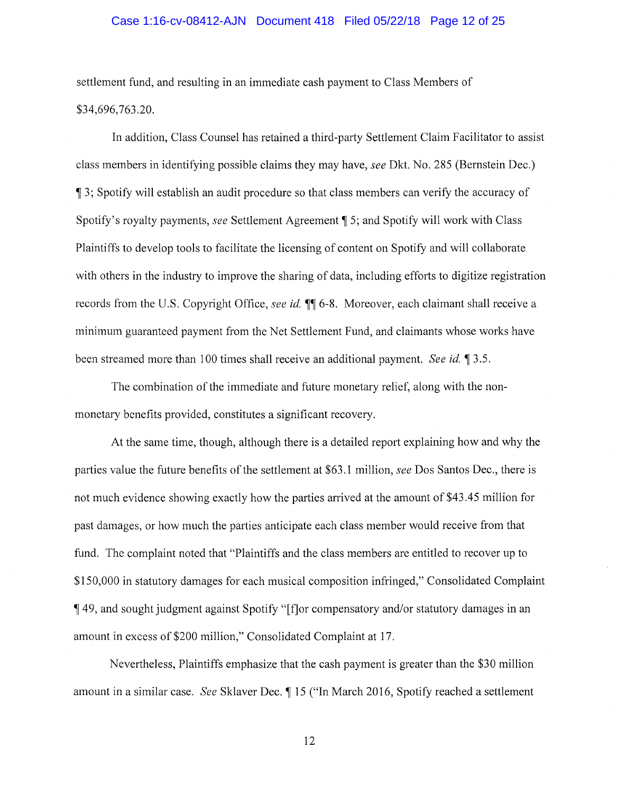### Case 1:16-cv-08412-AJN Document 418 Filed 05/22/18 Page 12 of 25

settlement fund, and resulting in an immediate cash payment to Class Members of \$34,696,763.20.

In addition, Class Counsel has retained a third-party Settlement Claim Facilitator to assist class members in identifying possible claims they may have, *see* Dkt. No. 285 (Bernstein Dec.) <sup>~</sup>3; Spotify will establish an audit procedure so that class members can verify the accuracy of Spotify's royalty payments, *see* Settlement Agreement  $\parallel$  5; and Spotify will work with Class Plaintiffs to develop tools to facilitate the licensing of content on Spotify and will collaborate with others in the industry to improve the sharing of data, including efforts to digitize registration records from the U.S. Copyright Office, *see id.*  $\blacksquare$  6-8. Moreover, each claimant shall receive a minimum guaranteed payment from the Net Settlement Fund, and claimants whose works have been streamed more than 100 times shall receive an additional payment. *See id.* 13.5.

The combination of the immediate and future monetary relief, along with the nonmonetary benefits provided, constitutes a significant recovery.

At the same time, though, although there is a detailed report explaining how and why the parties value the future benefits of the settlement at \$63 .1 million, *see* Dos Santos Dec., there is not much evidence showing exactly how the parties arrived at the amount of \$43 .45 million for past damages, or how much the parties anticipate each class member would receive from that fund. The complaint noted that "Plaintiffs and the class members are entitled to recover up to \$150,000 in statutory damages for each musical composition infringed," Consolidated Complaint <sup>~</sup>49, and sought judgment against Spotify "[f]or compensatory and/or statutory damages in an amount in excess of \$200 million," Consolidated Complaint at 17.

Nevertheless, Plaintiffs emphasize that the cash payment is greater than the \$30 million amount in a similar case. *See Sklaver Dec.*  $\parallel$  15 ("In March 2016, Spotify reached a settlement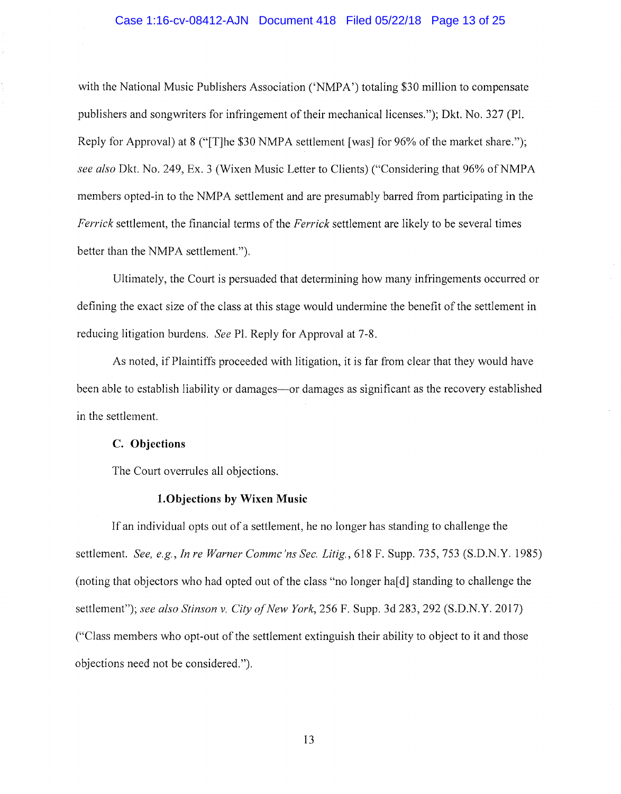#### Case 1:16-cv-08412-AJN Document 418 Filed 05/22/18 Page 13 of 25

with the National Music Publishers Association ('NMPA') totaling \$30 million to compensate publishers and songwriters for infringement of their mechanical licenses."); Dkt. No. 327 (Pl. Reply for Approval) at 8 ("[T]he \$30 NMPA settlement [was] for 96% of the market share."); *see also* Dkt. No. 249, Ex. 3 (Wixen Music Letter to Clients) ("Considering that 96% ofNMPA members opted-in to the NMPA settlement and are presumably barred from participating in the *Ferrick* settlement, the financial terms of the *Ferrick* settlement are likely to be several times better than the NMPA settlement.").

Ultimately, the Court is persuaded that determining how many infringements occurred or defining the exact size of the class at this stage would undermine the benefit of the settlement in reducing litigation burdens. *See* Pl. Reply for Approval at 7-8.

As noted, if Plaintiffs proceeded with litigation, it is far from clear that they would have been able to establish liability or damages-or damages as significant as the recovery established in the settlement.

### **C. Objections**

The Court overrules all objections.

### **l.Objections by Wixen Music**

If an individual opts out of a settlement, he no longer has standing to challenge the settlement. *See, e.g., In re Warner Commc'ns Sec. Litig.,* 618 F. Supp. 735, 753 (S.D.N.Y. 1985) (noting that objectors who had opted out of the class "no longer ha[d] standing to challenge the settlement"); *see also Stinson v. City of New York,* 256 F. Supp. 3d 283,292 (S.D.N.Y. 2017) ("Class members who opt-out of the settlement extinguish their ability to object to it and those objections need not be considered.").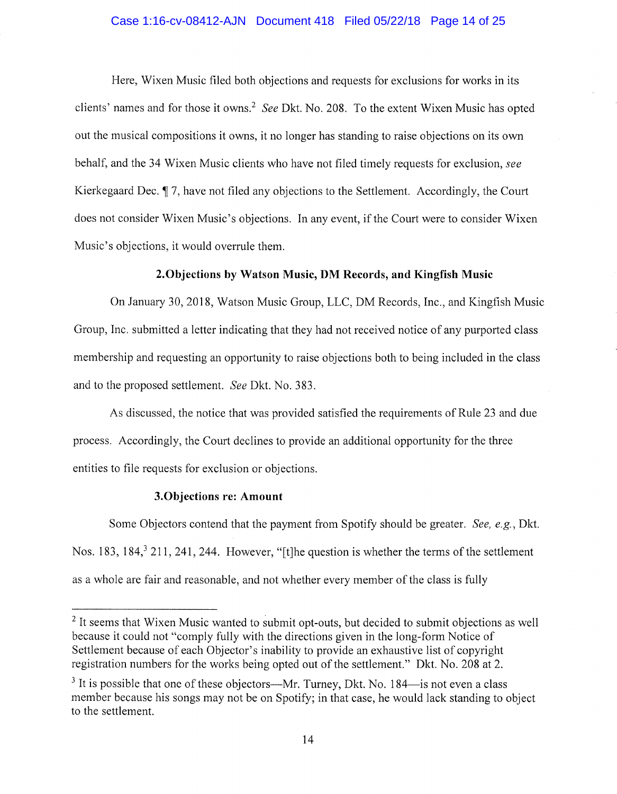### Case 1:16-cv-08412-AJN Document 418 Filed 05/22/18 Page 14 of 25

Here, Wixen Music filed both objections and requests for exclusions for works in its clients' names and for those it owns.<sup>2</sup>*See* Dkt. No. 208. To the extent Wixen Music has opted out the musical compositions it owns, it no longer has standing to raise objections on its own behalf, and the 34 Wixen Music clients who have not filed timely requests for exclusion, *see*  Kierkegaard Dec. 17, have not filed any objections to the Settlement. Accordingly, the Court does not consider Wixen Music's objections. In any event, if the Court were to consider Wixen Music's objections, it would overrule them.

# **2.0bjections by Watson Music, DM Records, and Kingfish Music**

On January 30, 2018, Watson Music Group, LLC, DM Records, Inc., and Kingfish Music Group, Inc. submitted a letter indicating that they had not received notice of any purported class membership and requesting an opportunity to raise objections both to being included in the class and to the proposed settlement. *See* Dkt. No. 383.

As discussed, the notice that was provided satisfied the requirements of Rule 23 and due process. Accordingly, the Court declines to provide an additional opportunity for the three entities to file requests for exclusion or objections.

#### **3.0bjections re: Amount**

Some Objectors contend that the payment from Spotify should be greater. *See, e.g.,* Dkt. Nos. 183, 184,<sup>3</sup> 211, 241, 244. However, "[t]he question is whether the terms of the settlement as a whole are fair and reasonable, and not whether every member of the class is fully

<sup>&</sup>lt;sup>2</sup> It seems that Wixen Music wanted to submit opt-outs, but decided to submit objections as well because it could not "comply fully with the directions given in the long-form Notice of Settlement because of each Objector's inability to provide an exhaustive list of copyright registration numbers for the works being opted out of the settlement." Dkt. No. 208 at 2.

 $3$  It is possible that one of these objectors—Mr. Turney, Dkt. No. 184—is not even a class member because his songs may not be on Spotify; in that case, he would lack standing to object to the settlement.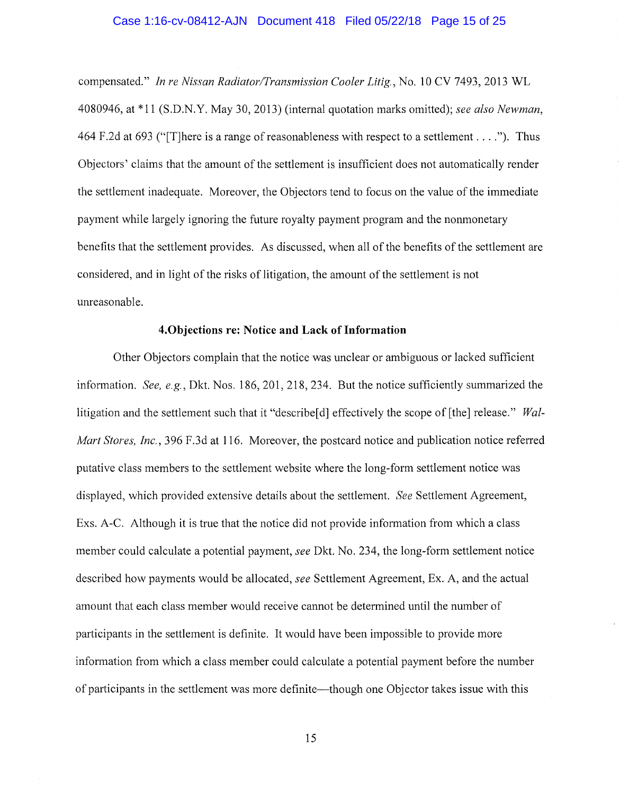### Case 1:16-cv-08412-AJN Document 418 Filed 05/22/18 Page 15 of 25

compensated." *In re Nissan Radiator/Transmission Cooler Litig.,* No. 10 CV 7493, 2013 WL 4080946, at \*11 (S.D.N.Y. May 30, 2013) (internal quotation marks omitted); *see also Newman,*  464 F.2d at 693 ("There is a range of reasonableness with respect to a settlement ...."). Thus Objectors' claims that the amount of the settlement is insufficient does not automatically render the settlement inadequate. Moreover, the Objectors tend to focus on the value of the immediate payment while largely ignoring the future royalty payment program and the nonmonetary benefits that the settlement provides. As discussed, when all of the benefits of the settlement are considered, and in light of the risks of litigation, the amount of the settlement is not unreasonable.

### **4.0bjections re: Notice and Lack of Information**

Other Objectors complain that the notice was unclear or ambiguous or lacked sufficient information. *See, e.g.,* Dkt. Nos. 186, 201, 218, 234. But the notice sufficiently summarized the litigation and the settlement such that it "describe<sup>[d]</sup> effectively the scope of [the] release." *Wal-Mart Stores, Inc.*, 396 F.3d at 116. Moreover, the postcard notice and publication notice referred putative class members to the settlement website where the long-form settlement notice was displayed, which provided extensive details about the settlement. *See* Settlement Agreement, Exs. A-C. Although it is true that the notice did not provide information from which a class member could calculate a potential payment, *see* Dkt. No. 234, the long-form settlement notice described how payments would be allocated, *see* Settlement Agreement, Ex. A, and the actual amount that each class member would receive cannot be determined until the number of participants in the settlement is definite. It would have been impossible to provide more information from which a class member could calculate a potential payment before the number of participants in the settlement was more definite—though one Objector takes issue with this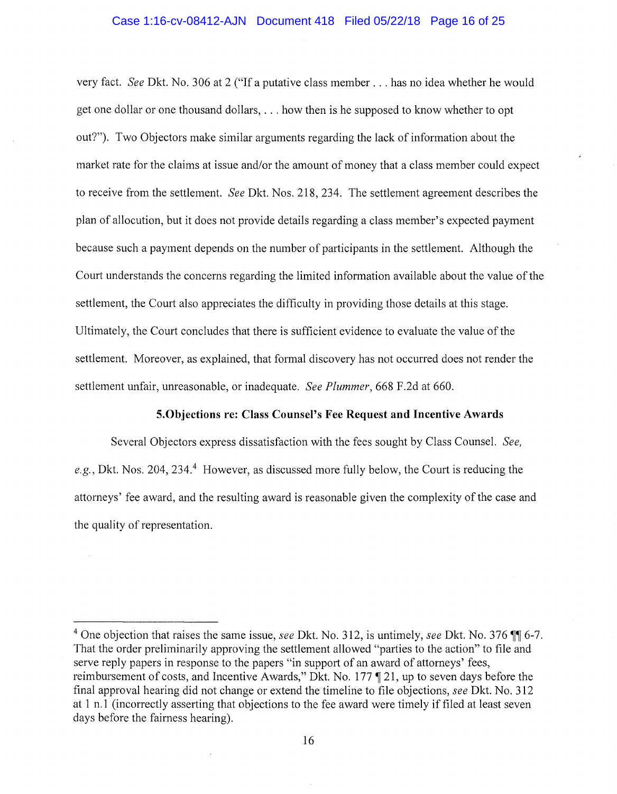#### Case 1:16-cv-08412-AJN Document 418 Filed 05/22/18 Page 16 of 25

very fact. *See* Dkt. No. 306 at 2 ("If a putative class member ... has no idea whether he would get one dollar or one thousand dollars, ... how then is he supposed to know whether to opt out?"). Two Objectors make similar arguments regarding the lack of information about the market rate for the claims at issue and/or the amount of money that a class member could expect to receive from the settlement. *See* Dkt. Nos. 218, 234. The settlement agreement describes the plan of allocution, but it does not provide details regarding a class member's expected payment because such a payment depends on the number of participants in the settlement. Although the Court understands the concerns regarding the limited information available about the value of the settlement, the Court also appreciates the difficulty in providing those details at this stage. Ultimately, the Court concludes that there is sufficient evidence to evaluate the value of the settlement. Moreover, as explained, that formal discovery has not occurred does not render the settlement unfair, unreasonable, or inadequate. *See Plummer,* 668 F.2d at 660.

### **5.0bjections re: Class Counsel's Fee Request and Incentive Awards**

Several Objectors express dissatisfaction with the fees sought by Class Counsel. *See,*  e.g., Dkt. Nos. 204, 234.<sup>4</sup> However, as discussed more fully below, the Court is reducing the attorneys' fee award, and the resulting award is reasonable given the complexity of the case and the quality of representation.

<sup>&</sup>lt;sup>4</sup> One objection that raises the same issue, *see* Dkt. No. 312, is untimely, *see* Dkt. No. 376  $\P$  6-7. That the order preliminarily approving the settlement allowed "parties to the action" to file and serve reply papers in response to the papers "in support of an award of attorneys' fees, reimbursement of costs, and Incentive Awards," Dkt. No. 177  $\P$  21, up to seven days before the final approval hearing did not change or extend the timeline to file objections, *see* Dkt. No. 312 at 1 n.1 (incorrectly asserting that objections to the fee award were timely if filed at least seven days before the fairness hearing).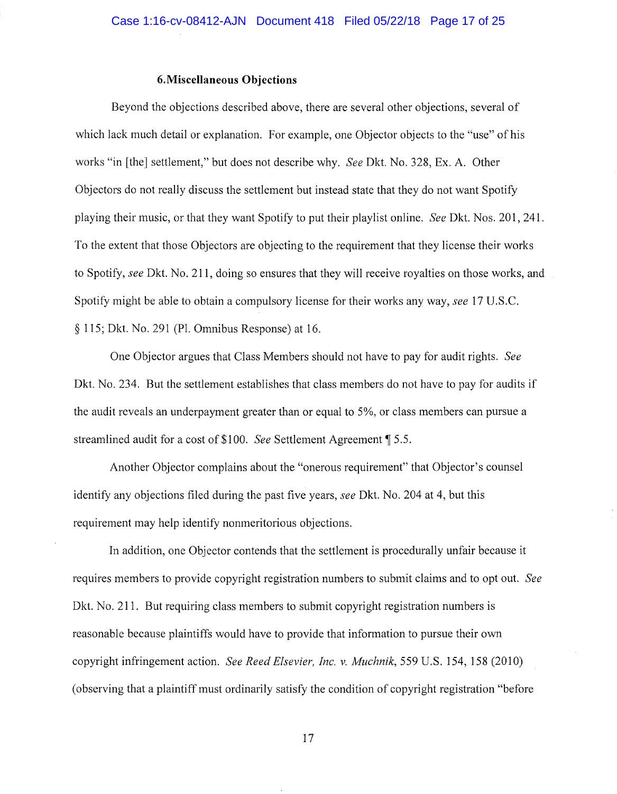### **6.Miscellaneous Objections**

Beyond the objections described above, there are several other objections, several of which lack much detail or explanation. For example, one Objector objects to the "use" of his works "in [the] settlement," but does not describe why. *See* Dkt. No. 328, Ex. A. Other Objectors do not really discuss the settlement but instead state that they do not want Spotify playing their music, or that they want Spotify to put their playlist online. *See* Dkt. Nos. 201, 241. To the extent that those Objectors are objecting to the requirement that they license their works to Spotify, *see* Dkt. No. 211, doing so ensures that they will receive royalties on those works, and Spotify might be able to obtain a compulsory license for their works any way, *see* 17 U.S.C. § 115; Dkt. No. 291 (Pl. Omnibus Response) at 16.

One Objector argues that Class Members should not have to pay for audit rights. *See*  Dkt. No. 234. But the settlement establishes that class members do not have to pay for audits if the audit reveals an underpayment greater than or equal to 5%, or class members can pursue a streamlined audit for a cost of \$100. *See* Settlement Agreement ¶ 5.5.

Another Objector complains about the "onerous requirement" that Objector's counsel identify any objections filed during the past five years, *see* Dkt. No. 204 at 4, but this requirement may help identify nonmeritorious objections.

In addition, one Objector contends that the settlement is procedurally unfair because it requires members to provide copyright registration numbers to submit claims and to opt out. *See*  Dkt. No. 211. But requiring class members to submit copyright registration numbers is reasonable because plaintiffs would have to provide that information to pursue their own copyright infringement action. *See Reed Elsevier, Inc. v. Muchnik,* 559 U.S. 154, 158 (2010) ( observing that a plaintiff must ordinarily satisfy the condition of copyright registration "before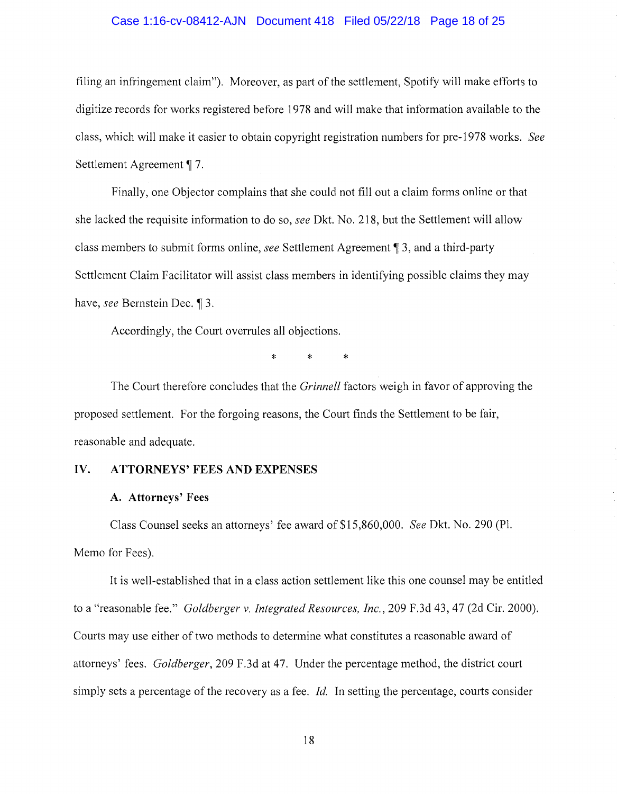### Case 1:16-cv-08412-AJN Document 418 Filed 05/22/18 Page 18 of 25

filing an infringement claim"). Moreover, as part of the settlement, Spotify will make efforts to digitize records for works registered before 1978 and will make that information available to the class, which will make it easier to obtain copyright registration numbers for pre-1978 works. *See*  Settlement Agreement ¶ 7.

Finally, one Objector complains that she could not fill out a claim forms online or that she lacked the requisite information to do so, *see* Dkt. No. 218, but the Settlement will allow class members to submit forms online, *see* Settlement Agreement~ 3, and a third-party Settlement Claim Facilitator will assist class members in identifying possible claims they may have, *see* Bernstein Dec. 13.

Accordingly, the Court overrules all objections.

\* \* \*

The Court therefore concludes that the *Grinnell* factors weigh in favor of approving the proposed settlement. For the forgoing reasons, the Court finds the Settlement to be fair, reasonable and adequate.

### **IV. ATTORNEYS' FEES AND EXPENSES**

#### **A. Attorneys' Fees**

Class Counsel seeks an attorneys' fee award of \$15,860,000. *See* Dkt. No. 290 (Pl. Memo for Fees).

It is well-established that in a class action settlement like this one counsel may be entitled to a "reasonable fee." *Goldberger v. Integrated Resources, Inc.,* 209 F.3d 43, 47 (2d Cir. 2000). Courts may use either of two methods to determine what constitutes a reasonable award of attorneys' fees. *Goldberger,* 209 F.3d at 47. Under the percentage method, the district court simply sets a percentage of the recovery as a fee. *Id.* In setting the percentage, courts consider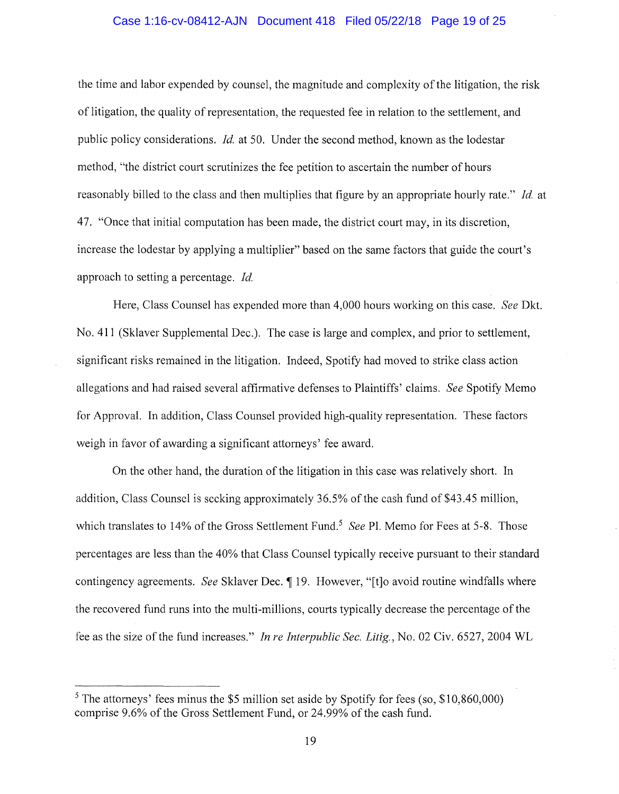### Case 1:16-cv-08412-AJN Document 418 Filed 05/22/18 Page 19 of 25

the time and labor expended by counsel, the magnitude and complexity of the litigation, the risk of litigation, the quality of representation, the requested fee in relation to the settlement, and public policy considerations. *Id.* at 50. Under the second method, known as the lodestar method, "the district court scrutinizes the fee petition to ascertain the number of hours reasonably billed to the class and then multiplies that figure by an appropriate hourly rate." *Id.* at 47. "Once that initial computation has been made, the district court may, in its discretion, increase the lodestar by applying a multiplier" based on the same factors that guide the court's approach to setting a percentage. *Id.* 

Here, Class Counsel has expended more than 4,000 hours working on this case. *See* Dkt. No. 411 (Sklaver Supplemental Dec.). The case is large and complex, and prior to settlement, significant risks remained in the litigation. Indeed, Spotify had moved to strike class action allegations and had raised several affirmative defenses to Plaintiffs' claims. *See* Spotify Memo for Approval. In addition, Class Counsel provided high-quality representation. These factors weigh in favor of awarding a significant attorneys' fee award.

On the other hand, the duration of the litigation in this case was relatively short. In addition, Class Counsel is seeking approximately 36.5% of the cash fund of \$43 .45 million, which translates to 14% of the Gross Settlement Fund.<sup>5</sup> See Pl. Memo for Fees at 5-8. Those percentages are less than the 40% that Class Counsel typically receive pursuant to their standard contingency agreements. *See Sklaver Dec.* 19. However, "[t]o avoid routine windfalls where the recovered fund runs into the multi-millions, courts typically decrease the percentage of the fee as the size of the fund increases." *In re Interpublic Sec. Litig.,* No. 02 Civ. 6527, 2004 WL

 $5$  The attorneys' fees minus the \$5 million set aside by Spotify for fees (so, \$10,860,000) comprise 9.6% of the Gross Settlement Fund, or 24.99% of the cash fund.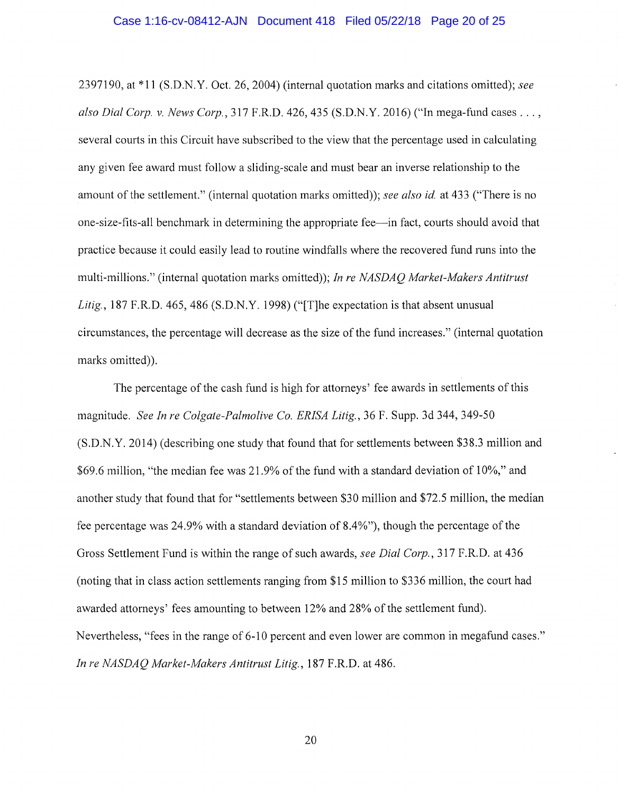2397190, at\* 11 (S.D.N. Y. Oct. 26, 2004) (internal quotation marks and citations omitted); *see also Dial Corp. v. News Corp.,* 317 F.R.D. 426,435 (S.D.N.Y. 2016) ("In mega-fund cases ... , several courts in this Circuit have subscribed to the view that the percentage used in calculating any given fee award must follow a sliding-scale and must bear an inverse relationship to the amount of the settlement." (internal quotation marks omitted)); *see also id.* at 433 ("There is no one-size-fits-all benchmark in determining the appropriate fee-in fact, courts should avoid that practice because it could easily lead to routine windfalls where the recovered fund runs into the multi-millions." (internal quotation marks omitted)); *In re NASDAQ Market-Makers Antitrust*  Litig., 187 F.R.D. 465, 486 (S.D.N.Y. 1998) ("[T]he expectation is that absent unusual circumstances, the percentage will decrease as the size of the fund increases." (internal quotation marks omitted)).

The percentage of the cash fund is high for attorneys' fee awards in settlements of this magnitude. *See In re Colgate-Palmolive Co. ERISA Litig.,* 36 F. Supp. 3d 344, 349-50 (S.D.N.Y. 2014) (describing one study that found that for settlements between \$38.3 million and \$69.6 million, "the median fee was 21.9% of the fund with a standard deviation of 10%," and another study that found that for "settlements between \$30 million and \$72.5 million, the median fee percentage was 24.9% with a standard deviation of 8.4%"), though the percentage of the Gross Settlement Fund is within the range of such awards, *see Dial Corp.,* 317 F.R.D. at 436 (noting that in class action settlements ranging from \$15 million to \$336 million, the court had awarded attorneys' fees amounting to between 12% and 28% of the settlement fund). Nevertheless, "fees in the range of 6-10 percent and even lower are common in megafund cases." *In re NASDAQ Market-Makers Antitrust Litig.,* 187 F.R.D. at 486.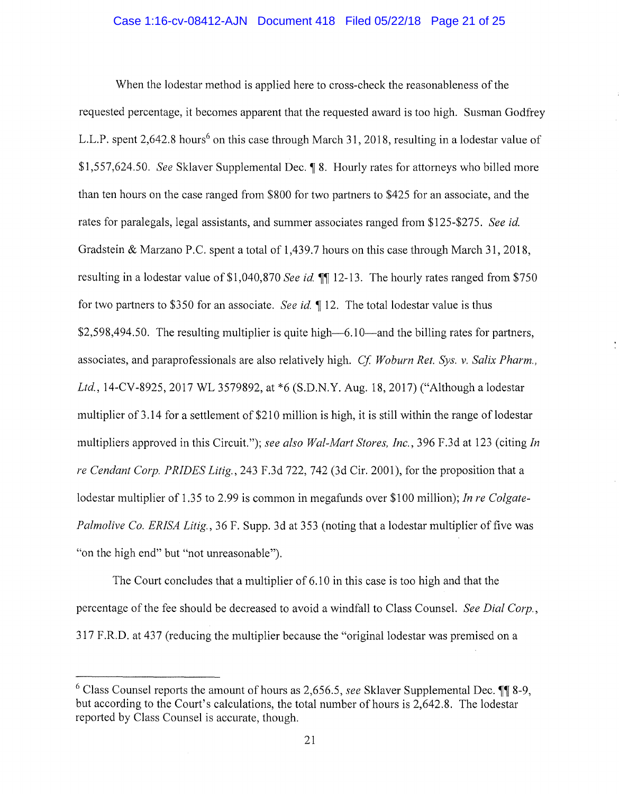### Case 1:16-cv-08412-AJN Document 418 Filed 05/22/18 Page 21 of 25

When the lodestar method is applied here to cross-check the reasonableness of the requested percentage, it becomes apparent that the requested award is too high. Susman Godfrey L.L.P. spent 2,642.8 hours<sup>6</sup> on this case through March 31, 2018, resulting in a lodestar value of \$1,557,624.50. *See* Sklaver Supplemental Dec.  $\blacksquare$  8. Hourly rates for attorneys who billed more than ten hours on the case ranged from \$800 for two partners to \$425 for an associate, and the rates for paralegals, legal assistants, and summer associates ranged from \$125-\$275. *See id.*  Gradstein & Marzano P.C. spent a total of 1,439.7 hours on this case through March 31, 2018, resulting in a lodestar value of \$1,040,870 *See id.*  $\P$  12-13. The hourly rates ranged from \$750 for two partners to \$350 for an associate. *See id.* 12. The total lodestar value is thus  $$2,598,494.50$ . The resulting multiplier is quite high- $6.10$ -and the billing rates for partners, associates, and paraprofessionals are also relatively high. *Cf Woburn Ret. Sys. v. Salix Pharm., Ltd.,* 14-CV-8925, 2017 WL 3579892, at \*6 (S.D.N.Y. Aug. 18, 2017) ("Although a lodestar multiplier of 3 .14 for a settlement of \$210 million is high, it is still within the range of lodestar multipliers approved in this Circuit."); *see also Wal-Mart Stores, Inc.,* 396 F.3d at 123 (citing *In re Cendant Corp. PRIDES Litig.,* 243 F.3d 722, 742 (3d Cir. 2001), for the proposition that a lodestar multiplier of 1.35 to 2.99 is common in megafunds over \$100 million); *In re Colgate*-*Palmolive Co. ERISA Litig.,* 36 F. Supp. 3d at 353 (noting that a lodestar multiplier of five was "on the high end" but "not unreasonable").

The Court concludes that a multiplier of 6.10 in this case is too high and that the percentage of the fee should be decreased to avoid a windfall to Class Counsel. *See Dial Corp.,*  317 F.R.D. at 437 (reducing the multiplier because the "original lodestar was premised on a

 $6$  Class Counsel reports the amount of hours as 2,656.5, *see* Sklaver Supplemental Dec.  $\P$  8-9, but according to the Court's calculations, the total number of hours is 2,642.8. The lodestar reported by Class Counsel is accurate, though.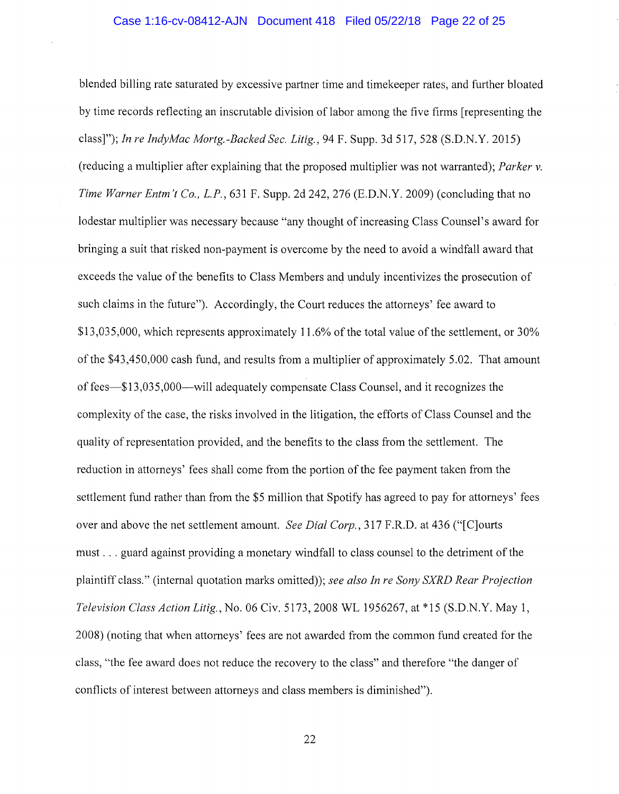### Case 1:16-cv-08412-AJN Document 418 Filed 05/22/18 Page 22 of 25

blended billing rate saturated by excessive partner time and timekeeper rates, and further bloated by time records reflecting an inscrutable division of labor among the five firms [representing the class]"); *In re IndyMac Mortg.-Backed Sec. Litig.,* 94 F. Supp. 3d 517, 528 (S.D.N.Y. 2015) (reducing a multiplier after explaining that the proposed multiplier was not warranted); *Parker v. Time Warner Entm* 't *Co., L.P.,* 631 F. Supp. 2d 242, 276 (E.D.N.Y. 2009) (concluding that no lodestar multiplier was necessary because "any thought of increasing Class Counsel's award for bringing a suit that risked non-payment is overcome by the need to avoid a windfall award that exceeds the value of the benefits to Class Members and unduly incentivizes the prosecution of such claims in the future"). Accordingly, the Court reduces the attorneys' fee award to \$13,035,000, which represents approximately 11.6% of the total value of the settlement, or 30% of the \$43,450,000 cash fund, and results from a multiplier of approximately 5.02. That amount of fees-\$13,035,000-will adequately compensate Class Counsel, and it recognizes the complexity of the case, the risks involved in the litigation, the efforts of Class Counsel and the quality of representation provided, and the benefits to the class from the settlement. The reduction in attorneys' fees shall come from the portion of the fee payment taken from the settlement fund rather than from the \$5 million that Spotify has agreed to pay for attorneys' fees over and above the net settlement amount. *See Dial Corp.,* 317 F.R.D. at 436 ("[C]ourts must ... guard against providing a monetary windfall to class counsel to the detriment of the plaintiff class." (internal quotation marks omitted)); *see also In re Sony SXRD Rear Projection Television Class Action Litig.,* No. 06 Civ. 5173, 2008 WL 1956267, at\* 15 (S.D.N.Y. May 1, 2008) (noting that when attorneys' fees are not awarded from the common fund created for the class, "the fee award does not reduce the recovery to the class" and therefore "the danger of conflicts of interest between attorneys and class members is diminished").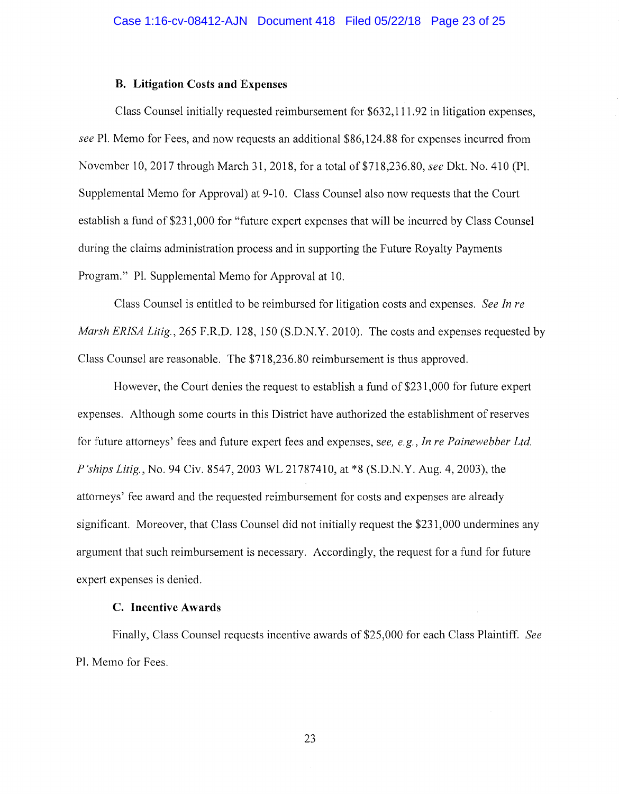### **B. Litigation Costs and Expenses**

Class Counsel initially requested reimbursement for \$632,111.92 in litigation expenses, *see* Pl. Memo for Fees, and now requests an additional \$86,124.88 for expenses incurred from November 10, 2017 through March 31, 2018, for a total of \$718,236.80, *see* Dkt. No. 410 (Pl. Supplemental Memo for Approval) at 9-10. Class Counsel also now requests that the Court establish a fund of \$231,000 for "future expert expenses that will be incurred by Class Counsel during the claims administration process and in supporting the Future Royalty Payments Program." Pl. Supplemental Memo for Approval at 10.

Class Counsel is entitled to be reimbursed for litigation costs and expenses. *See In re Marsh ERISA Litig.,* 265 F.R.D. 128, 150 (S.D.N.Y. 2010). The costs and expenses requested by Class Counsel are reasonable. The \$718,236.80 reimbursement is thus approved.

However, the Court denies the request to establish a fund of \$231,000 for future expert expenses. Although some courts in this District have authorized the establishment of reserves for future attorneys' fees and future expert fees and expenses, *see, e.g., In re Painewebber Ltd. P 'ships Litig.,* No. 94 Civ. 8547, 2003 WL 21787410, at \*8 (S.D.N.Y. Aug. 4, 2003), the attorneys' fee award and the requested reimbursement for costs and expenses are already significant. Moreover, that Class Counsel did not initially request the \$231,000 undermines any argument that such reimbursement is necessary. Accordingly, the request for a fund for future expert expenses is denied.

### **C. Incentive Awards**

Finally, Class Counsel requests incentive awards of \$25,000 for each Class Plaintiff. *See*  Pl. Memo for Fees.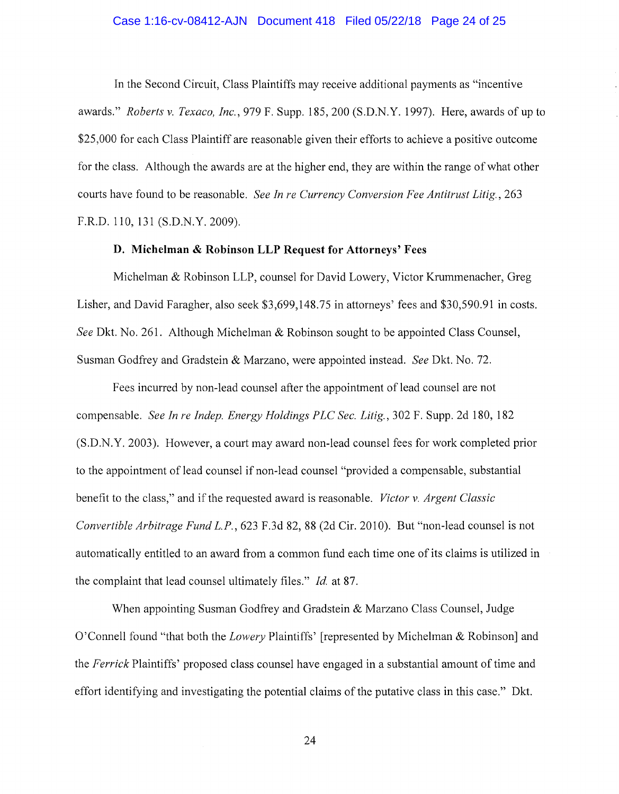### Case 1:16-cv-08412-AJN Document 418 Filed 05/22/18 Page 24 of 25

In the Second Circuit, Class Plaintiffs may receive additional payments as "incentive awards." *Roberts v. Texaco, Inc.,* 979 F. Supp. 185,200 (S.D.N.Y. 1997). Here, awards ofup to \$25,000 for each Class Plaintiff are reasonable given their efforts to achieve a positive outcome for the class. Although the awards are at the higher end, they are within the range of what other courts have found to be reasonable. *See In re Currency Conversion Fee Antitrust Litig.,* 263 F.R.D.110, 131 (S.D.N.Y.2009).

# **D. Michelman & Robinson LLP Request for Attorneys' Fees**

Michelman & Robinson LLP, counsel for David Lowery, Victor Krummenacher, Greg Lisher, and David Faragher, also seek \$3,699,148.75 in attorneys' fees and \$30,590.91 in costs. *See* Dkt. No. 261. Although Michelman & Robinson sought to be appointed Class Counsel, Susman Godfrey and Gradstein & Marzano, were appointed instead. *See* Dkt. No. 72.

Fees incurred by non-lead counsel after the appointment of lead counsel are not compensable. *See In re lndep. Energy Holdings PLC Sec. Litig.,* 302 F. Supp. 2d 180, 182 (S.D.N.Y. 2003). However, a court may award non-lead counsel fees for work completed prior to the appointment of lead counsel if non-lead counsel "provided a compensable, substantial benefit to the class," and if the requested award is reasonable. *Victor v. Argent Classic Convertible Arbitrage Fund L.P.,* 623 F.3d 82, 88 (2d Cir. 2010). But "non-lead counsel is not automatically entitled to an award from a common fund each time one of its claims is utilized in the complaint that lead counsel ultimately files." *Id.* at 87.

When appointing Susman Godfrey and Gradstein & Marzano Class Counsel, Judge O'Connell found "that both the *Lowery* Plaintiffs' [represented by Michelman & Robinson] and the *Ferrick* Plaintiffs' proposed class counsel have engaged in a substantial amount of time and effort identifying and investigating the potential claims of the putative class in this case." Dkt.